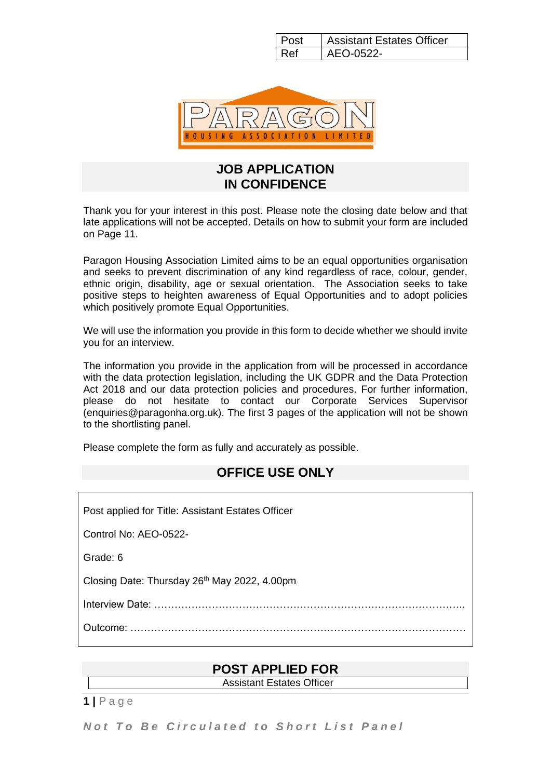Post | Assistant Estates Officer  $Ref$   $AEO-0522$ -



#### **JOB APPLICATION IN CONFIDENCE**

Thank you for your interest in this post. Please note the closing date below and that late applications will not be accepted. Details on how to submit your form are included on Page 11.

Paragon Housing Association Limited aims to be an equal opportunities organisation and seeks to prevent discrimination of any kind regardless of race, colour, gender, ethnic origin, disability, age or sexual orientation. The Association seeks to take positive steps to heighten awareness of Equal Opportunities and to adopt policies which positively promote Equal Opportunities.

We will use the information you provide in this form to decide whether we should invite you for an interview.

The information you provide in the application from will be processed in accordance with the data protection legislation, including the UK GDPR and the Data Protection Act 2018 and our data protection policies and procedures. For further information, please do not hesitate to contact our Corporate Services Supervisor (enquiries@paragonha.org.uk). The first 3 pages of the application will not be shown to the shortlisting panel.

Please complete the form as fully and accurately as possible.

### **OFFICE USE ONLY**

| Post applied for Title: Assistant Estates Officer |  |  |  |  |
|---------------------------------------------------|--|--|--|--|
| Control No: AEO-0522-                             |  |  |  |  |
| Grade: 6                                          |  |  |  |  |
| Closing Date: Thursday 26th May 2022, 4.00pm      |  |  |  |  |
|                                                   |  |  |  |  |
|                                                   |  |  |  |  |
|                                                   |  |  |  |  |

### **POST APPLIED FOR**

Assistant Estates Officer

**1 |** P a g e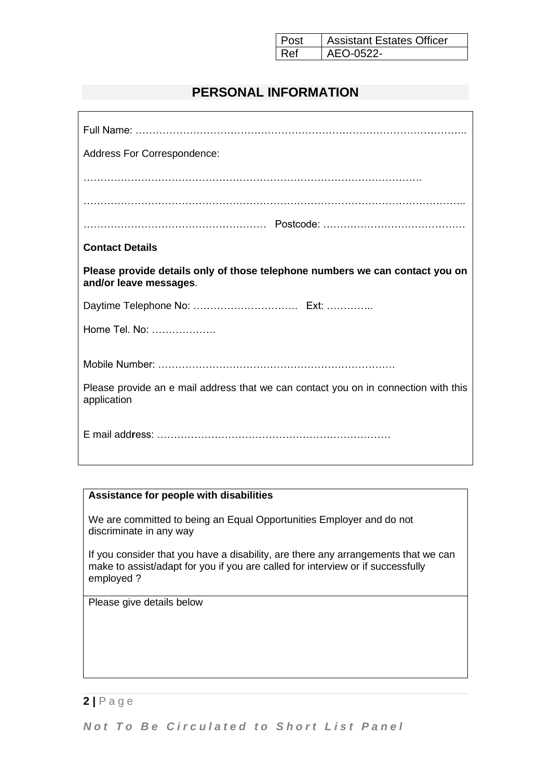| Post | <b>Assistant Estates Officer</b> |
|------|----------------------------------|
| Ref  | AEO-0522-                        |

## **PERSONAL INFORMATION**

| Address For Correspondence:                                                                            |  |  |  |  |
|--------------------------------------------------------------------------------------------------------|--|--|--|--|
|                                                                                                        |  |  |  |  |
|                                                                                                        |  |  |  |  |
|                                                                                                        |  |  |  |  |
| <b>Contact Details</b>                                                                                 |  |  |  |  |
| Please provide details only of those telephone numbers we can contact you on<br>and/or leave messages. |  |  |  |  |
|                                                                                                        |  |  |  |  |
| Home Tel. No:                                                                                          |  |  |  |  |
|                                                                                                        |  |  |  |  |
|                                                                                                        |  |  |  |  |
| Please provide an e mail address that we can contact you on in connection with this<br>application     |  |  |  |  |
|                                                                                                        |  |  |  |  |

#### **Assistance for people with disabilities**

We are committed to being an Equal Opportunities Employer and do not discriminate in any way

If you consider that you have a disability, are there any arrangements that we can make to assist/adapt for you if you are called for interview or if successfully employed ?

Please give details below

#### **2 |** P a g e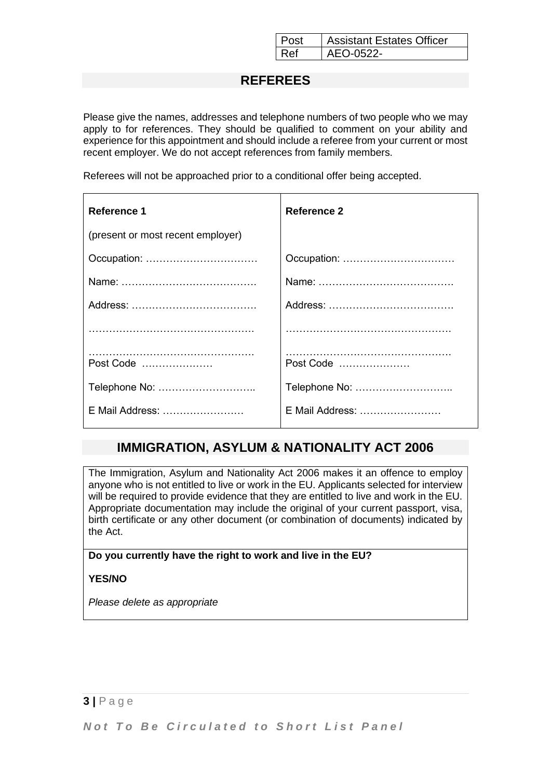| l Post | <b>Assistant Estates Officer</b> |
|--------|----------------------------------|
| l Ref  | AEO-0522-                        |

### **REFEREES**

Please give the names, addresses and telephone numbers of two people who we may apply to for references. They should be qualified to comment on your ability and experience for this appointment and should include a referee from your current or most recent employer. We do not accept references from family members.

Referees will not be approached prior to a conditional offer being accepted.

| <b>Reference 1</b>                | Reference 2     |
|-----------------------------------|-----------------|
| (present or most recent employer) |                 |
|                                   |                 |
|                                   |                 |
|                                   |                 |
|                                   |                 |
| Post Code                         | Post Code       |
| Telephone No:                     | Telephone No:   |
| E Mail Address:                   | E Mail Address: |

### **IMMIGRATION, ASYLUM & NATIONALITY ACT 2006**

The Immigration, Asylum and Nationality Act 2006 makes it an offence to employ anyone who is not entitled to live or work in the EU. Applicants selected for interview will be required to provide evidence that they are entitled to live and work in the EU. Appropriate documentation may include the original of your current passport, visa, birth certificate or any other document (or combination of documents) indicated by the Act.

#### **Do you currently have the right to work and live in the EU?**

**YES/NO**

*Please delete as appropriate*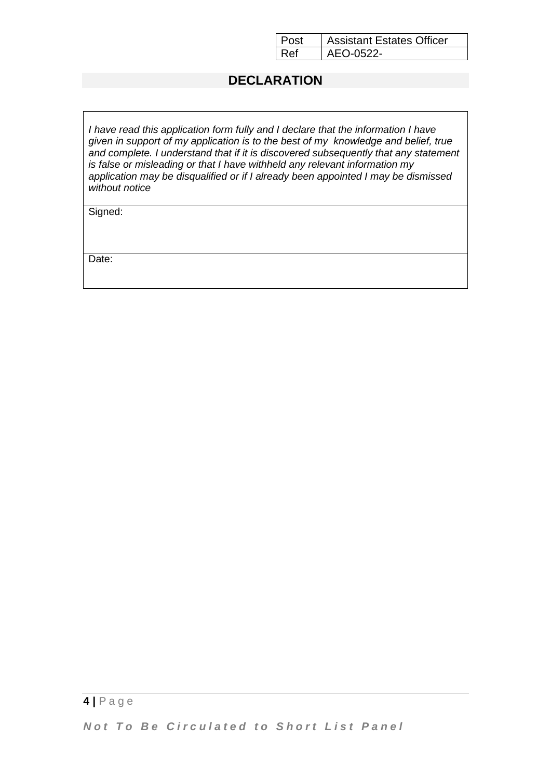| l Post | <b>Assistant Estates Officer</b> |
|--------|----------------------------------|
| l Ref  | AEO-0522-                        |

### **DECLARATION**

*I have read this application form fully and I declare that the information I have given in support of my application is to the best of my knowledge and belief, true and complete. I understand that if it is discovered subsequently that any statement is false or misleading or that I have withheld any relevant information my application may be disqualified or if I already been appointed I may be dismissed without notice*

Signed:

Date: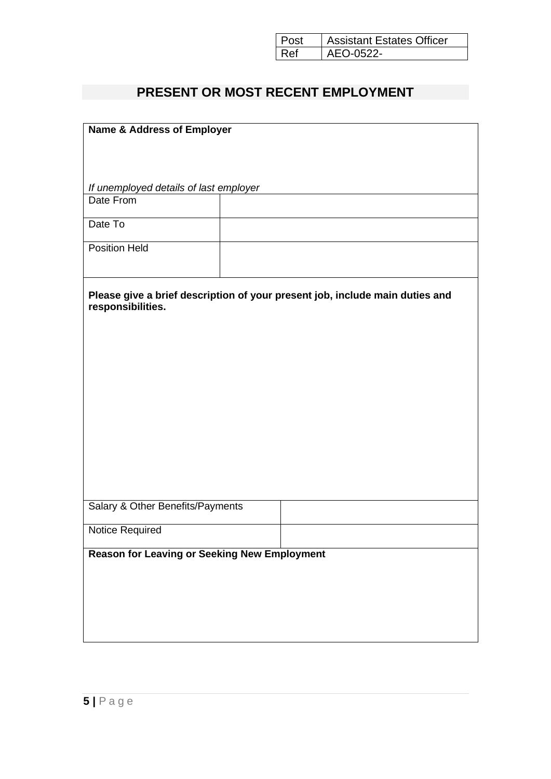| Post | <b>Assistant Estates Officer</b> |
|------|----------------------------------|
| Ref  | AEO-0522-                        |

# **PRESENT OR MOST RECENT EMPLOYMENT**

| <b>Name &amp; Address of Employer</b>                                                             |  |  |  |  |
|---------------------------------------------------------------------------------------------------|--|--|--|--|
|                                                                                                   |  |  |  |  |
|                                                                                                   |  |  |  |  |
|                                                                                                   |  |  |  |  |
| If unemployed details of last employer                                                            |  |  |  |  |
| Date From                                                                                         |  |  |  |  |
|                                                                                                   |  |  |  |  |
| Date To                                                                                           |  |  |  |  |
| <b>Position Held</b>                                                                              |  |  |  |  |
|                                                                                                   |  |  |  |  |
| Please give a brief description of your present job, include main duties and<br>responsibilities. |  |  |  |  |
|                                                                                                   |  |  |  |  |
|                                                                                                   |  |  |  |  |
|                                                                                                   |  |  |  |  |
|                                                                                                   |  |  |  |  |
|                                                                                                   |  |  |  |  |
|                                                                                                   |  |  |  |  |
|                                                                                                   |  |  |  |  |
|                                                                                                   |  |  |  |  |
|                                                                                                   |  |  |  |  |
|                                                                                                   |  |  |  |  |
|                                                                                                   |  |  |  |  |
|                                                                                                   |  |  |  |  |
| Salary & Other Benefits/Payments                                                                  |  |  |  |  |
|                                                                                                   |  |  |  |  |
| Notice Required                                                                                   |  |  |  |  |
|                                                                                                   |  |  |  |  |
| <b>Reason for Leaving or Seeking New Employment</b>                                               |  |  |  |  |
|                                                                                                   |  |  |  |  |
|                                                                                                   |  |  |  |  |
|                                                                                                   |  |  |  |  |
|                                                                                                   |  |  |  |  |
|                                                                                                   |  |  |  |  |
|                                                                                                   |  |  |  |  |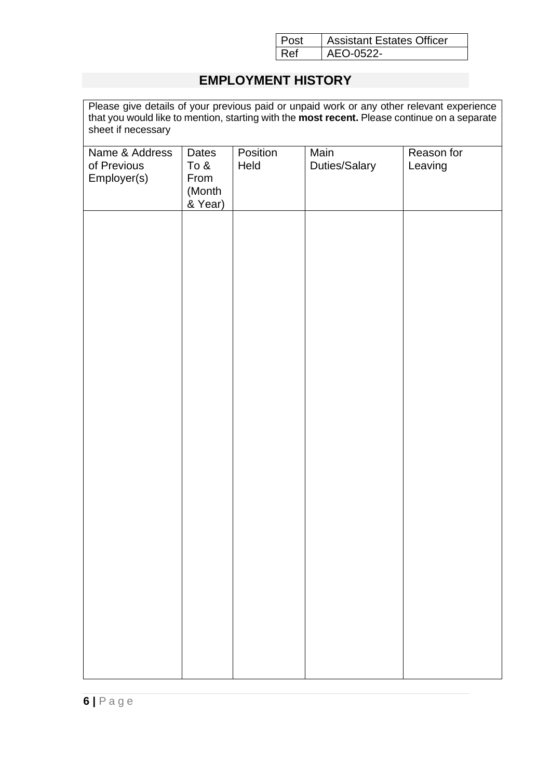| Post | <b>Assistant Estates Officer</b> |
|------|----------------------------------|
| Ref  | AEO-0522-                        |

# **EMPLOYMENT HISTORY**

Please give details of your previous paid or unpaid work or any other relevant experience that you would like to mention, starting with the **most recent.** Please continue on a separate sheet if necessary

| Name & Address<br>of Previous<br>Employer(s) | Dates<br>To $&$<br>From<br>(Month<br>& Year) | Position<br>Held | Main<br>Duties/Salary | Reason for<br>Leaving |
|----------------------------------------------|----------------------------------------------|------------------|-----------------------|-----------------------|
|                                              |                                              |                  |                       |                       |
|                                              |                                              |                  |                       |                       |
|                                              |                                              |                  |                       |                       |
|                                              |                                              |                  |                       |                       |
|                                              |                                              |                  |                       |                       |
|                                              |                                              |                  |                       |                       |
|                                              |                                              |                  |                       |                       |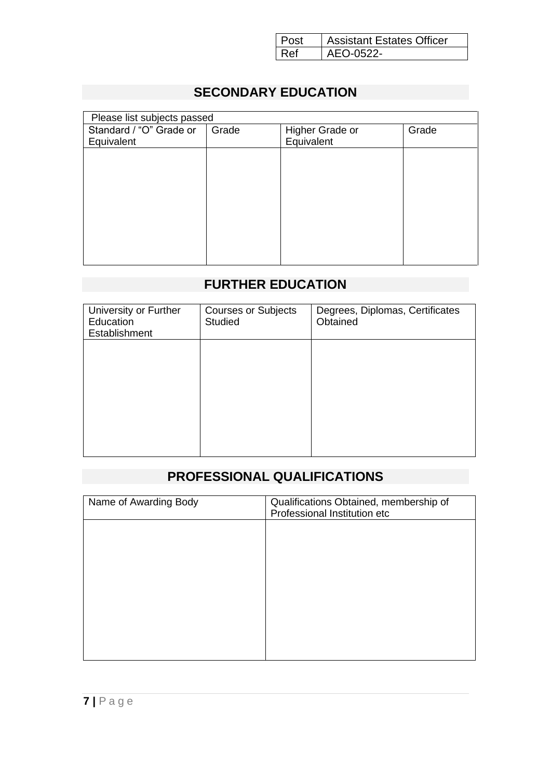| l Post | <b>Assistant Estates Officer</b> |
|--------|----------------------------------|
| l Ref  | AEO-0522-                        |

# **SECONDARY EDUCATION**

| Please list subjects passed |       |                 |       |  |  |
|-----------------------------|-------|-----------------|-------|--|--|
| Standard / "O" Grade or     | Grade | Higher Grade or | Grade |  |  |
| Equivalent                  |       | Equivalent      |       |  |  |
|                             |       |                 |       |  |  |
|                             |       |                 |       |  |  |
|                             |       |                 |       |  |  |
|                             |       |                 |       |  |  |
|                             |       |                 |       |  |  |
|                             |       |                 |       |  |  |
|                             |       |                 |       |  |  |
|                             |       |                 |       |  |  |
|                             |       |                 |       |  |  |

# **FURTHER EDUCATION**

| <b>Courses or Subjects</b><br><b>Studied</b> | Degrees, Diplomas, Certificates<br>Obtained |
|----------------------------------------------|---------------------------------------------|
|                                              |                                             |
|                                              |                                             |
|                                              |                                             |
|                                              |                                             |

# **PROFESSIONAL QUALIFICATIONS**

| Name of Awarding Body | Qualifications Obtained, membership of<br>Professional Institution etc |
|-----------------------|------------------------------------------------------------------------|
|                       |                                                                        |
|                       |                                                                        |
|                       |                                                                        |
|                       |                                                                        |
|                       |                                                                        |
|                       |                                                                        |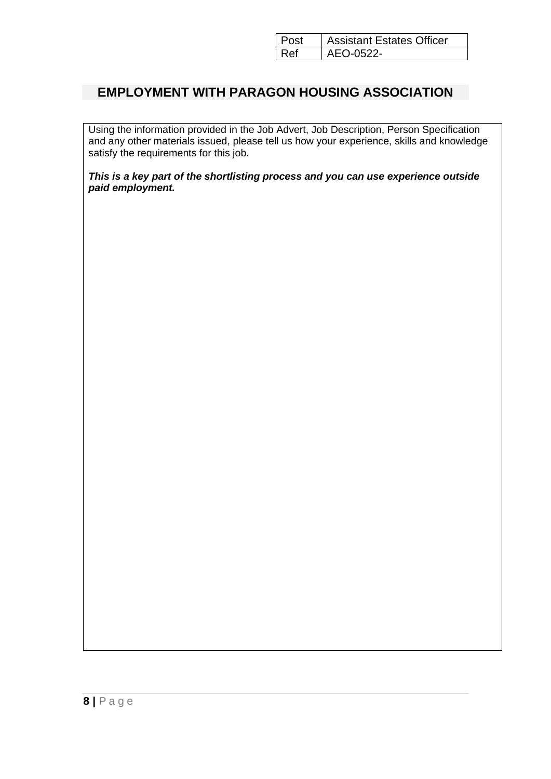| l Post | <b>Assistant Estates Officer</b> |
|--------|----------------------------------|
| l Ref  | $AFO-0.522-$                     |

## **EMPLOYMENT WITH PARAGON HOUSING ASSOCIATION**

Using the information provided in the Job Advert, Job Description, Person Specification and any other materials issued, please tell us how your experience, skills and knowledge satisfy the requirements for this job.

*This is a key part of the shortlisting process and you can use experience outside paid employment.*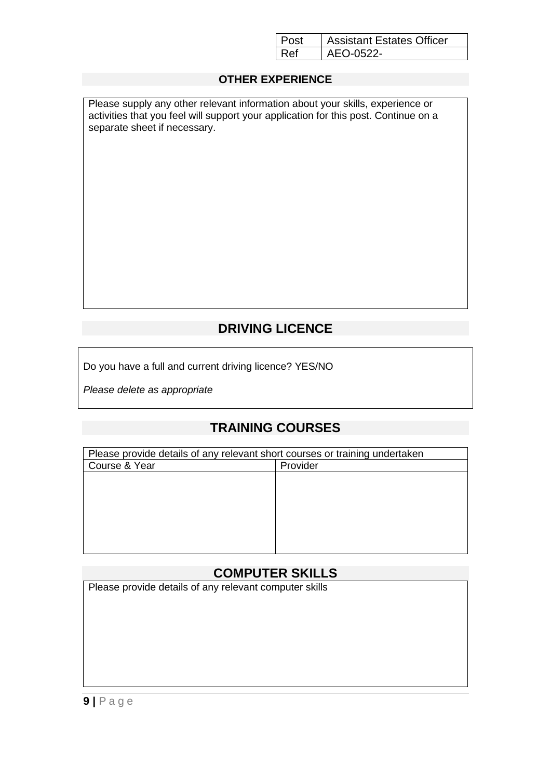|     | <b>Assistant Estates Officer</b> |
|-----|----------------------------------|
| R⊿f | $AFO-0.522-$                     |

#### **OTHER EXPERIENCE**

| Please supply any other relevant information about your skills, experience or       |
|-------------------------------------------------------------------------------------|
| activities that you feel will support your application for this post. Continue on a |
| separate sheet if necessary.                                                        |

# **DRIVING LICENCE**

Do you have a full and current driving licence? YES/NO

*Please delete as appropriate*

## **TRAINING COURSES**

| Please provide details of any relevant short courses or training undertaken |          |  |
|-----------------------------------------------------------------------------|----------|--|
| Course & Year                                                               | Provider |  |
|                                                                             |          |  |
|                                                                             |          |  |
|                                                                             |          |  |
|                                                                             |          |  |
|                                                                             |          |  |
|                                                                             |          |  |
|                                                                             |          |  |

## **COMPUTER SKILLS**

Please provide details of any relevant computer skills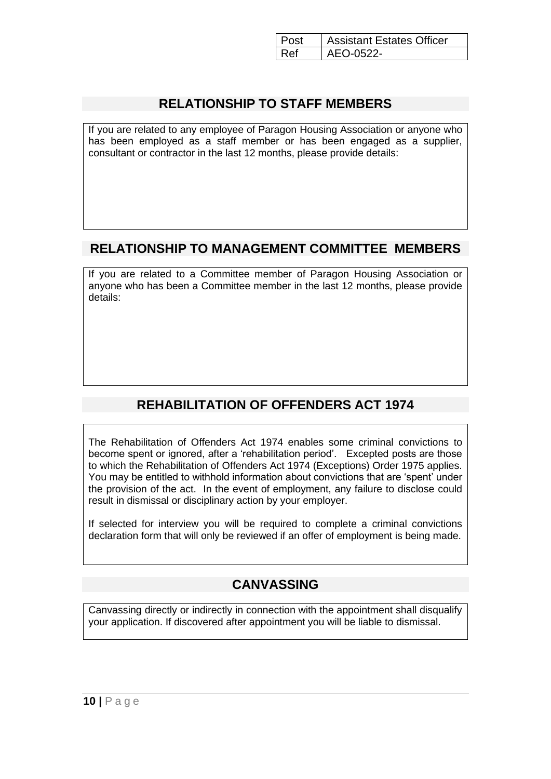|     | <b>Assistant Estates Officer</b> |
|-----|----------------------------------|
| R⊿f | $AFO-0.522-$                     |

### **RELATIONSHIP TO STAFF MEMBERS**

If you are related to any employee of Paragon Housing Association or anyone who has been employed as a staff member or has been engaged as a supplier, consultant or contractor in the last 12 months, please provide details:

## **RELATIONSHIP TO MANAGEMENT COMMITTEE MEMBERS**

If you are related to a Committee member of Paragon Housing Association or anyone who has been a Committee member in the last 12 months, please provide details:

# **REHABILITATION OF OFFENDERS ACT 1974**

The Rehabilitation of Offenders Act 1974 enables some criminal convictions to become spent or ignored, after a 'rehabilitation period'. Excepted posts are those to which the Rehabilitation of Offenders Act 1974 (Exceptions) Order 1975 applies. You may be entitled to withhold information about convictions that are 'spent' under the provision of the act. In the event of employment, any failure to disclose could result in dismissal or disciplinary action by your employer.

If selected for interview you will be required to complete a criminal convictions declaration form that will only be reviewed if an offer of employment is being made.

## **CANVASSING**

Canvassing directly or indirectly in connection with the appointment shall disqualify your application. If discovered after appointment you will be liable to dismissal.